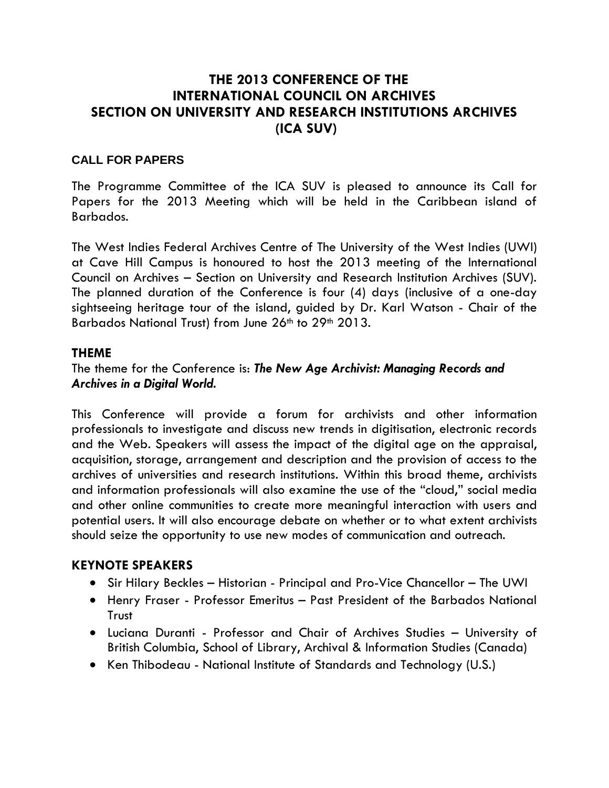# **THE 2013 CONFERENCE OF THE INTERNATIONAL COUNCIL ON ARCHIVES SECTION ON UNIVERSITY AND RESEARCH INSTITUTIONS ARCHIVES (ICA SUV)**

## **CALL FOR PAPERS**

The Programme Committee of the ICA SUV is pleased to announce its Call for Papers for the 2013 Meeting which will be held in the Caribbean island of Barbados.

The West Indies Federal Archives Centre of The University of the West Indies (UWI) at Cave Hill Campus is honoured to host the 2013 meeting of the International Council on Archives – Section on University and Research Institution Archives (SUV). The planned duration of the Conference is four (4) days (inclusive of a one-day sightseeing heritage tour of the island, guided by Dr. Karl Watson - Chair of the Barbados National Trust) from June 26<sup>th</sup> to 29<sup>th</sup> 2013.

#### **THEME**

### The theme for the Conference is: *The New Age Archivist: Managing Records and Archives in a Digital World.*

This Conference will provide a forum for archivists and other information professionals to investigate and discuss new trends in digitisation, electronic records and the Web. Speakers will assess the impact of the digital age on the appraisal, acquisition, storage, arrangement and description and the provision of access to the archives of universities and research institutions. Within this broad theme, archivists and information professionals will also examine the use of the "cloud," social media and other online communities to create more meaningful interaction with users and potential users. It will also encourage debate on whether or to what extent archivists should seize the opportunity to use new modes of communication and outreach.

#### **KEYNOTE SPEAKERS**

- Sir Hilary Beckles Historian Principal and Pro-Vice Chancellor The UWI
- Henry Fraser Professor Emeritus Past President of the Barbados National **Trust**
- Luciana Duranti Professor and Chair of Archives Studies University of British Columbia, School of Library, Archival & Information Studies (Canada)
- Ken Thibodeau National Institute of Standards and Technology (U.S.)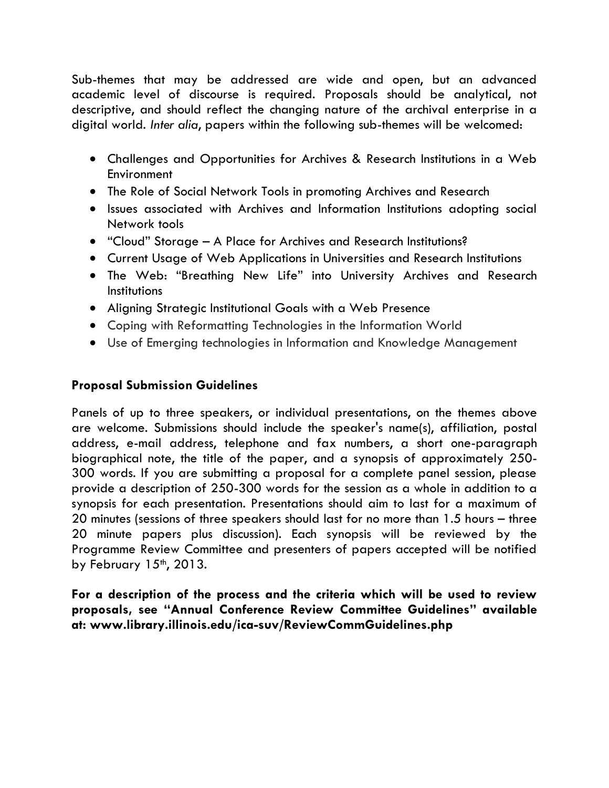Sub-themes that may be addressed are wide and open, but an advanced academic level of discourse is required. Proposals should be analytical, not descriptive, and should reflect the changing nature of the archival enterprise in a digital world. *Inter alia*, papers within the following sub-themes will be welcomed:

- Challenges and Opportunities for Archives & Research Institutions in a Web **Environment**
- The Role of Social Network Tools in promoting Archives and Research
- Issues associated with Archives and Information Institutions adopting social Network tools
- "Cloud" Storage A Place for Archives and Research Institutions?
- Current Usage of Web Applications in Universities and Research Institutions
- The Web: "Breathing New Life" into University Archives and Research **Institutions**
- Aligning Strategic Institutional Goals with a Web Presence
- Coping with Reformatting Technologies in the Information World
- Use of Emerging technologies in Information and Knowledge Management

## **Proposal Submission Guidelines**

Panels of up to three speakers, or individual presentations, on the themes above are welcome. Submissions should include the speaker's name(s), affiliation, postal address, e-mail address, telephone and fax numbers, a short one-paragraph biographical note, the title of the paper, and a synopsis of approximately 250- 300 words. If you are submitting a proposal for a complete panel session, please provide a description of 250-300 words for the session as a whole in addition to a synopsis for each presentation. Presentations should aim to last for a maximum of 20 minutes (sessions of three speakers should last for no more than 1.5 hours – three 20 minute papers plus discussion). Each synopsis will be reviewed by the Programme Review Committee and presenters of papers accepted will be notified by February  $15<sup>th</sup>$ , 2013.

**For a description of the process and the criteria which will be used to review proposals, see "Annual Conference Review Committee Guidelines" available at: www.library.illinois.edu/ica-suv/ReviewCommGuidelines.php**